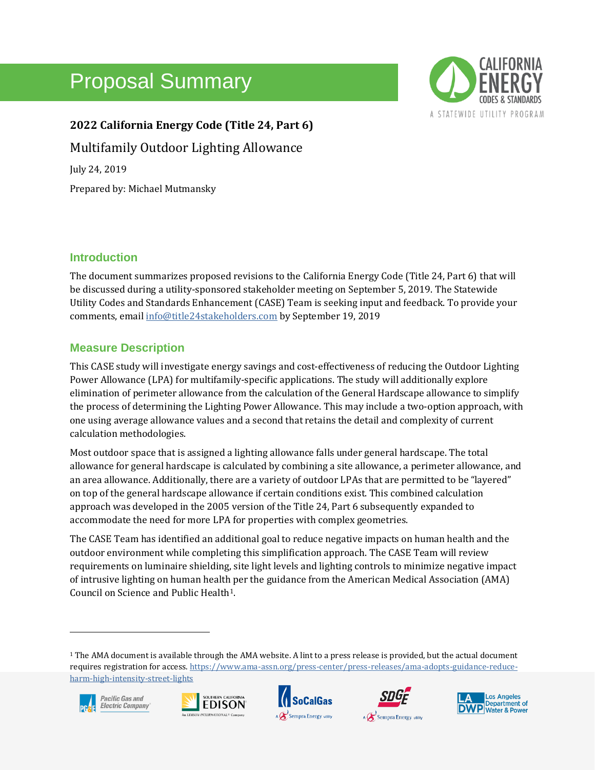# Proposal Summary



**2022 California Energy Code (Title 24, Part 6)** Multifamily Outdoor Lighting Allowance July 24, 2019 Prepared by: Michael Mutmansky

# **Introduction**

The document summarizes proposed revisions to the California Energy Code (Title 24, Part 6) that will be discussed during a utility-sponsored stakeholder meeting on September 5, 2019. The Statewide Utility Codes and Standards Enhancement (CASE) Team is seeking input and feedback. To provide your comments, emai[l info@title24stakeholders.com](mailto:info@title24stakeholders.com) by September 19, 2019

# **Measure Description**

This CASE study will investigate energy savings and cost-effectiveness of reducing the Outdoor Lighting Power Allowance (LPA) for multifamily-specific applications. The study will additionally explore elimination of perimeter allowance from the calculation of the General Hardscape allowance to simplify the process of determining the Lighting Power Allowance. This may include a two-option approach, with one using average allowance values and a second that retains the detail and complexity of current calculation methodologies.

Most outdoor space that is assigned a lighting allowance falls under general hardscape. The total allowance for general hardscape is calculated by combining a site allowance, a perimeter allowance, and an area allowance. Additionally, there are a variety of outdoor LPAs that are permitted to be "layered" on top of the general hardscape allowance if certain conditions exist. This combined calculation approach was developed in the 2005 version of the Title 24, Part 6 subsequently expanded to accommodate the need for more LPA for properties with complex geometries.

The CASE Team has identified an additional goal to reduce negative impacts on human health and the outdoor environment while completing this simplification approach. The CASE Team will review requirements on luminaire shielding, site light levels and lighting controls to minimize negative impact of intrusive lighting on human health per the guidance from the American Medical Association (AMA) Council on Science and Public Health1.

<sup>1</sup> The AMA document is available through the AMA website. A lint to a press release is provided, but the actual document requires registration for access[. https://www.ama-assn.org/press-center/press-releases/ama-adopts-guidance-reduce](https://www.ama-assn.org/press-center/press-releases/ama-adopts-guidance-reduce-harm-high-intensity-street-lights)[harm-high-intensity-street-lights](https://www.ama-assn.org/press-center/press-releases/ama-adopts-guidance-reduce-harm-high-intensity-street-lights)









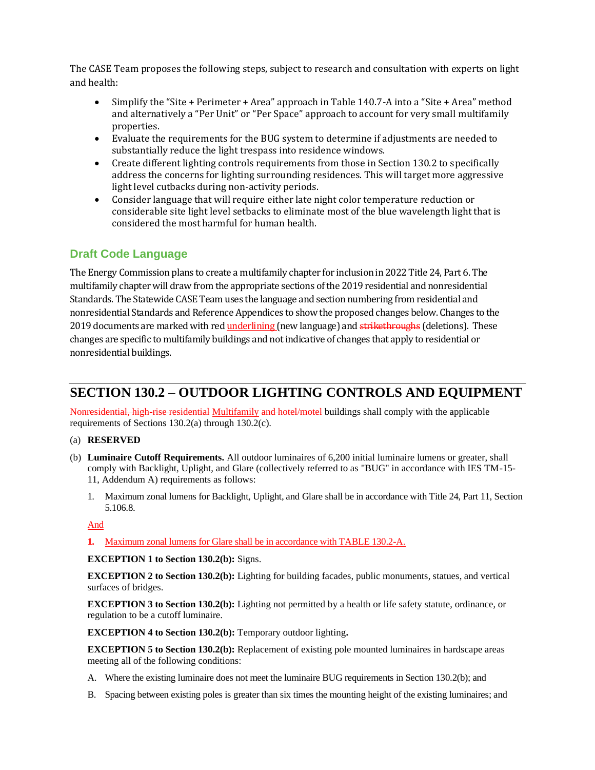The CASE Team proposes the following steps, subject to research and consultation with experts on light and health:

- Simplify the "Site + Perimeter + Area" approach in Table 140.7-A into a "Site + Area" method and alternatively a "Per Unit" or "Per Space" approach to account for very small multifamily properties.
- Evaluate the requirements for the BUG system to determine if adjustments are needed to substantially reduce the light trespass into residence windows.
- Create different lighting controls requirements from those in Section 130.2 to specifically address the concerns for lighting surrounding residences. This will target more aggressive light level cutbacks during non-activity periods.
- Consider language that will require either late night color temperature reduction or considerable site light level setbacks to eliminate most of the blue wavelength light that is considered the most harmful for human health.

# **Draft Code Language**

The Energy Commission plans to create a multifamily chapter for inclusion in 2022 Title 24, Part 6. The multifamily chapter will draw from the appropriate sections of the 2019 residential and nonresidential Standards. The Statewide CASE Team uses the language and section numbering from residential and nonresidential Standards and Reference Appendices to show the proposed changes below. Changes to the 2019 documents are marked with red underlining (new language) and strikethroughs (deletions). These changes are specific to multifamily buildings and not indicative of changes that apply to residential or nonresidential buildings.

# **SECTION 130.2 – OUTDOOR LIGHTING CONTROLS AND EQUIPMENT**

Nonresidential, high-rise residential Multifamily and hotel/motel buildings shall comply with the applicable requirements of Sections 130.2(a) through 130.2(c).

## (a) **RESERVED**

- (b) **Luminaire Cutoff Requirements.** All outdoor luminaires of 6,200 initial luminaire lumens or greater, shall comply with Backlight, Uplight, and Glare (collectively referred to as "BUG" in accordance with IES TM-15- 11, Addendum A) requirements as follows:
	- 1. Maximum zonal lumens for Backlight, Uplight, and Glare shall be in accordance with Title 24, Part 11, Section 5.106.8.

## And

**1.** Maximum zonal lumens for Glare shall be in accordance with TABLE 130.2-A.

**EXCEPTION 1 to Section 130.2(b):** Signs.

**EXCEPTION 2 to Section 130.2(b):** Lighting for building facades, public monuments, statues, and vertical surfaces of bridges.

**EXCEPTION 3 to Section 130.2(b):** Lighting not permitted by a health or life safety statute, ordinance, or regulation to be a cutoff luminaire.

**EXCEPTION 4 to Section 130.2(b):** Temporary outdoor lighting**.**

**EXCEPTION 5 to Section 130.2(b):** Replacement of existing pole mounted luminaires in hardscape areas meeting all of the following conditions:

- A. Where the existing luminaire does not meet the luminaire BUG requirements in Section 130.2(b); and
- B. Spacing between existing poles is greater than six times the mounting height of the existing luminaires; and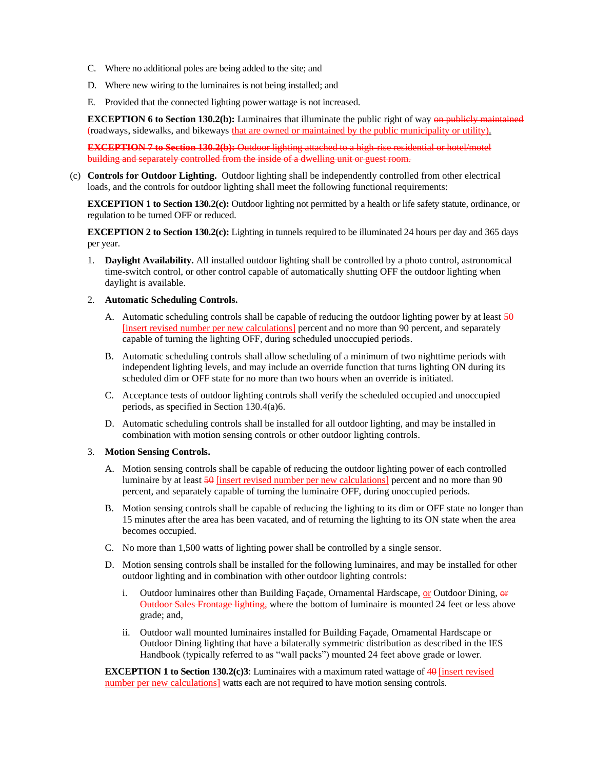- C. Where no additional poles are being added to the site; and
- D. Where new wiring to the luminaires is not being installed; and
- E. Provided that the connected lighting power wattage is not increased.

**EXCEPTION 6 to Section 130.2(b):** Luminaires that illuminate the public right of way on publicly maintained (roadways, sidewalks, and bikeways that are owned or maintained by the public municipality or utility).

**EXCEPTION 7 to Section 130**.**2(b):** Outdoor lighting attached to a high-rise residential or hotel/motel building and separately controlled from the inside of a dwelling unit or guest room.

(c) **Controls for Outdoor Lighting.** Outdoor lighting shall be independently controlled from other electrical loads, and the controls for outdoor lighting shall meet the following functional requirements:

**EXCEPTION 1 to Section 130.2(c):** Outdoor lighting not permitted by a health or life safety statute, ordinance, or regulation to be turned OFF or reduced.

**EXCEPTION 2 to Section 130.2(c):** Lighting in tunnels required to be illuminated 24 hours per day and 365 days per year.

1. **Daylight Availability.** All installed outdoor lighting shall be controlled by a photo control, astronomical time-switch control, or other control capable of automatically shutting OFF the outdoor lighting when daylight is available.

#### 2. **Automatic Scheduling Controls.**

- A. Automatic scheduling controls shall be capable of reducing the outdoor lighting power by at least  $\frac{50}{9}$ [insert revised number per new calculations] percent and no more than 90 percent, and separately capable of turning the lighting OFF, during scheduled unoccupied periods.
- B. Automatic scheduling controls shall allow scheduling of a minimum of two nighttime periods with independent lighting levels, and may include an override function that turns lighting ON during its scheduled dim or OFF state for no more than two hours when an override is initiated.
- C. Acceptance tests of outdoor lighting controls shall verify the scheduled occupied and unoccupied periods, as specified in Section 130.4(a)6.
- D. Automatic scheduling controls shall be installed for all outdoor lighting, and may be installed in combination with motion sensing controls or other outdoor lighting controls.

#### 3. **Motion Sensing Controls.**

- A. Motion sensing controls shall be capable of reducing the outdoor lighting power of each controlled luminaire by at least 50 [insert revised number per new calculations] percent and no more than 90 percent, and separately capable of turning the luminaire OFF, during unoccupied periods.
- B. Motion sensing controls shall be capable of reducing the lighting to its dim or OFF state no longer than 15 minutes after the area has been vacated, and of returning the lighting to its ON state when the area becomes occupied.
- C. No more than 1,500 watts of lighting power shall be controlled by a single sensor.
- D. Motion sensing controls shall be installed for the following luminaires, and may be installed for other outdoor lighting and in combination with other outdoor lighting controls:
	- i. Outdoor luminaires other than Building Façade, Ornamental Hardscape,  $or$  Outdoor Dining,  $or$ Outdoor Sales Frontage lighting, where the bottom of luminaire is mounted 24 feet or less above grade; and,
	- ii. Outdoor wall mounted luminaires installed for Building Façade, Ornamental Hardscape or Outdoor Dining lighting that have a bilaterally symmetric distribution as described in the IES Handbook (typically referred to as "wall packs") mounted 24 feet above grade or lower.

**EXCEPTION 1 to Section 130.2(c)3**: Luminaires with a maximum rated wattage of 40 [insert revised number per new calculations] watts each are not required to have motion sensing controls.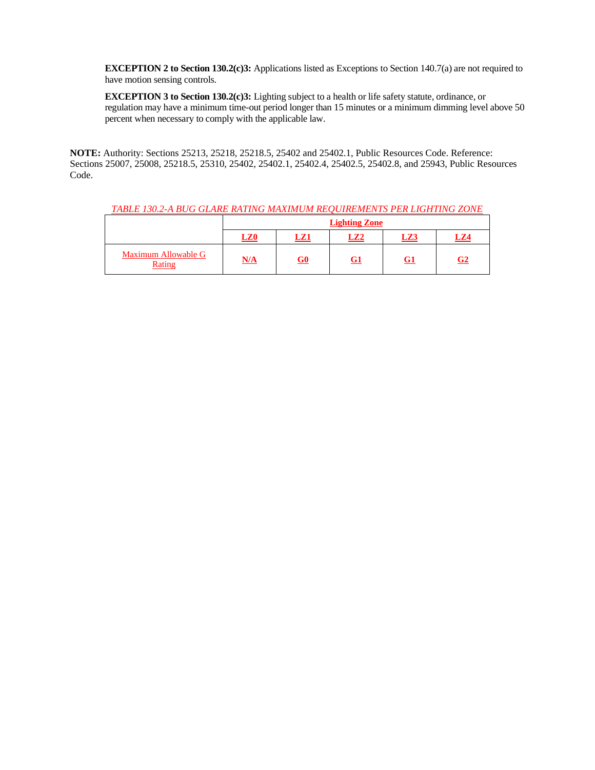**EXCEPTION 2 to Section 130.2(c)3:** Applications listed as Exceptions to Section 140.7(a) are not required to have motion sensing controls.

**EXCEPTION 3 to Section 130.2(c)3:** Lighting subject to a health or life safety statute, ordinance, or regulation may have a minimum time-out period longer than 15 minutes or a minimum dimming level above 50 percent when necessary to comply with the applicable law.

**NOTE:** Authority: Sections 25213, 25218, 25218.5, 25402 and 25402.1, Public Resources Code. Reference: Sections 25007, 25008, 25218.5, 25310, 25402, 25402.1, 25402.4, 25402.5, 25402.8, and 25943, Public Resources Code.

| TABLE 130.2-A BUG GLARE RATING MAXIMUM REOUIREMENTS PER LIGHTING ZONE |                      |           |                 |     |                |  |  |
|-----------------------------------------------------------------------|----------------------|-----------|-----------------|-----|----------------|--|--|
|                                                                       | <b>Lighting Zone</b> |           |                 |     |                |  |  |
|                                                                       | LZ0                  | LZ1       | LZ <sub>2</sub> | LZ3 | LZ4            |  |  |
| Maximum Allowable G<br>Rating                                         | N/A                  | <u>G0</u> | G1              | G1  | G <sub>2</sub> |  |  |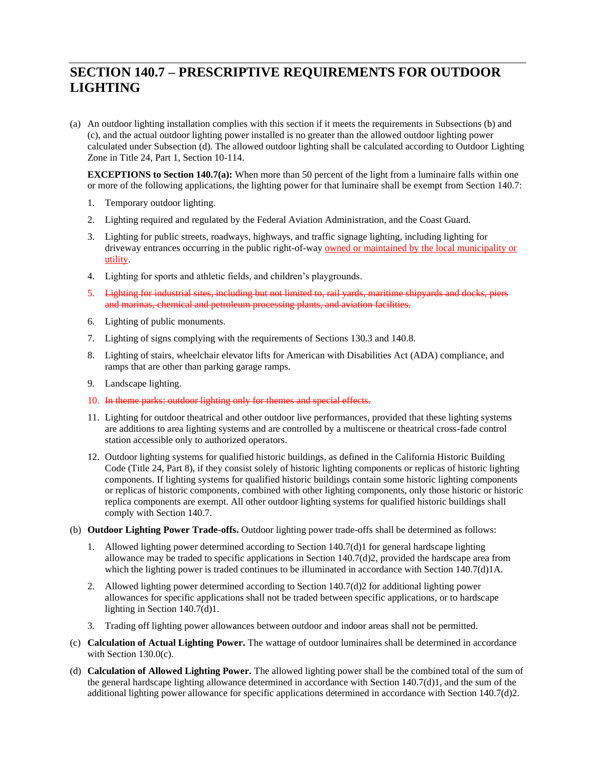# **SECTION 140.7 – PRESCRIPTIVE REQUIREMENTS FOR OUTDOOR LIGHTING**

(a) An outdoor lighting installation complies with this section if it meets the requirements in Subsections (b) and (c), and the actual outdoor lighting power installed is no greater than the allowed outdoor lighting power calculated under Subsection (d). The allowed outdoor lighting shall be calculated according to Outdoor Lighting Zone in Title 24, Part 1, Section 10-114.

**EXCEPTIONS to Section 140.7(a):** When more than 50 percent of the light from a luminaire falls within one or more of the following applications, the lighting power for that luminaire shall be exempt from Section 140.7:

- 1. Temporary outdoor lighting.
- 2. Lighting required and regulated by the Federal Aviation Administration, and the Coast Guard.
- 3. Lighting for public streets, roadways, highways, and traffic signage lighting, including lighting for driveway entrances occurring in the public right-of-way owned or maintained by the local municipality or utility.
- 4. Lighting for sports and athletic fields, and children's playgrounds.
- 5. Lighting for industrial sites, including but not limited to, rail yards, maritime shipyards and docks, piers and marinas, chemical and petroleum processing plants, and aviation facilities.
- 6. Lighting of public monuments.
- 7. Lighting of signs complying with the requirements of Sections 130.3 and 140.8.
- 8. Lighting of stairs, wheelchair elevator lifts for American with Disabilities Act (ADA) compliance, and ramps that are other than parking garage ramps.
- 9. Landscape lighting.
- 10. In theme parks: outdoor lighting only for themes and special effects.
- 11. Lighting for outdoor theatrical and other outdoor live performances, provided that these lighting systems are additions to area lighting systems and are controlled by a multiscene or theatrical cross-fade control station accessible only to authorized operators.
- 12. Outdoor lighting systems for qualified historic buildings, as defined in the California Historic Building Code (Title 24, Part 8), if they consist solely of historic lighting components or replicas of historic lighting components. If lighting systems for qualified historic buildings contain some historic lighting components or replicas of historic components, combined with other lighting components, only those historic or historic replica components are exempt. All other outdoor lighting systems for qualified historic buildings shall comply with Section 140.7.
- (b) **Outdoor Lighting Power Trade-offs.** Outdoor lighting power trade-offs shall be determined as follows:
	- 1. Allowed lighting power determined according to Section 140.7(d)1 for general hardscape lighting allowance may be traded to specific applications in Section 140.7(d)2, provided the hardscape area from which the lighting power is traded continues to be illuminated in accordance with Section 140.7(d)1A.
	- 2. Allowed lighting power determined according to Section 140.7(d)2 for additional lighting power allowances for specific applications shall not be traded between specific applications, or to hardscape lighting in Section 140.7(d)1.
	- 3. Trading off lighting power allowances between outdoor and indoor areas shall not be permitted.
- (c) **Calculation of Actual Lighting Power.** The wattage of outdoor luminaires shall be determined in accordance with Section 130.0(c).
- (d) **Calculation of Allowed Lighting Power.** The allowed lighting power shall be the combined total of the sum of the general hardscape lighting allowance determined in accordance with Section 140.7(d)1, and the sum of the additional lighting power allowance for specific applications determined in accordance with Section 140.7(d)2.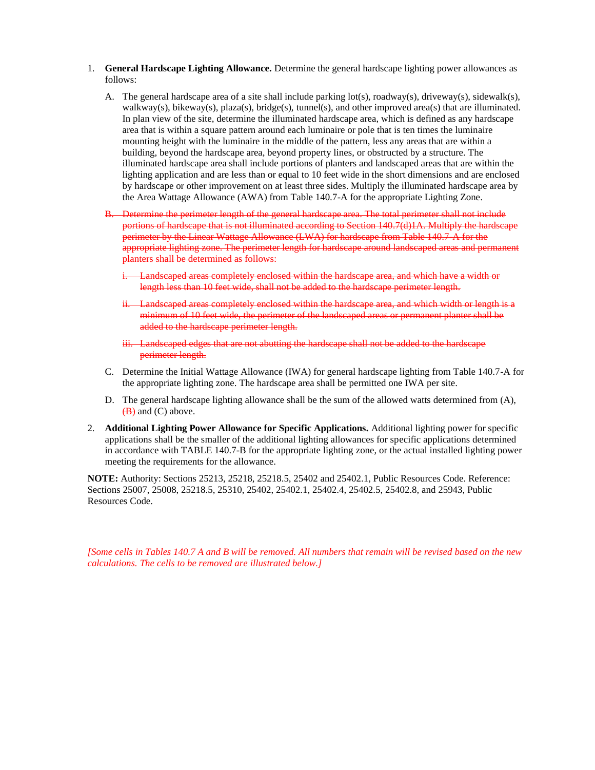- 1. **General Hardscape Lighting Allowance.** Determine the general hardscape lighting power allowances as follows:
	- A. The general hardscape area of a site shall include parking lot(s), roadway(s), driveway(s), sidewalk(s), walkway(s), bikeway(s), plaza(s), bridge(s), tunnel(s), and other improved area(s) that are illuminated. In plan view of the site, determine the illuminated hardscape area, which is defined as any hardscape area that is within a square pattern around each luminaire or pole that is ten times the luminaire mounting height with the luminaire in the middle of the pattern, less any areas that are within a building, beyond the hardscape area, beyond property lines, or obstructed by a structure. The illuminated hardscape area shall include portions of planters and landscaped areas that are within the lighting application and are less than or equal to 10 feet wide in the short dimensions and are enclosed by hardscape or other improvement on at least three sides. Multiply the illuminated hardscape area by the Area Wattage Allowance (AWA) from Table 140.7-A for the appropriate Lighting Zone.
	- B. Determine the perimeter length of the general hardscape area. The total perimeter shall not include portions of hardscape that is not illuminated according to Section 140.7(d)1A. Multiply the hardscape perimeter by the Linear Wattage Allowance (LWA) for hardscape from Table 140.7-A for the appropriate lighting zone. The perimeter length for hardscape around landscaped areas and permanent planters shall be determined as follows:
		- **i.** Landscaped areas completely enclosed within the hardscape area, and which have a width or length less than 10 feet wide, shall not be added to the hardscape perimeter length.
		- ii. Landscaped areas completely enclosed within the hardscape area, and which width or length is a minimum of 10 feet wide, the perimeter of the landscaped areas or permanent planter shall be added to the hardscape perimeter length.
		- iii. Landscaped edges that are not abutting the hardscape shall not be added to the hardscape perimeter length.
	- C. Determine the Initial Wattage Allowance (IWA) for general hardscape lighting from Table 140.7-A for the appropriate lighting zone. The hardscape area shall be permitted one IWA per site.
	- D. The general hardscape lighting allowance shall be the sum of the allowed watts determined from (A),  $(B)$  and  $(C)$  above.
- 2. **Additional Lighting Power Allowance for Specific Applications.** Additional lighting power for specific applications shall be the smaller of the additional lighting allowances for specific applications determined in accordance with [TABLE 140.7-B](#page-6-0) for the appropriate lighting zone, or the actual installed lighting power meeting the requirements for the allowance.

**NOTE:** Authority: Sections 25213, 25218, 25218.5, 25402 and 25402.1, Public Resources Code. Reference: Sections 25007, 25008, 25218.5, 25310, 25402, 25402.1, 25402.4, 25402.5, 25402.8, and 25943, Public Resources Code.

*[Some cells in Tables 140.7 A and B will be removed. All numbers that remain will be revised based on the new calculations. The cells to be removed are illustrated below.]*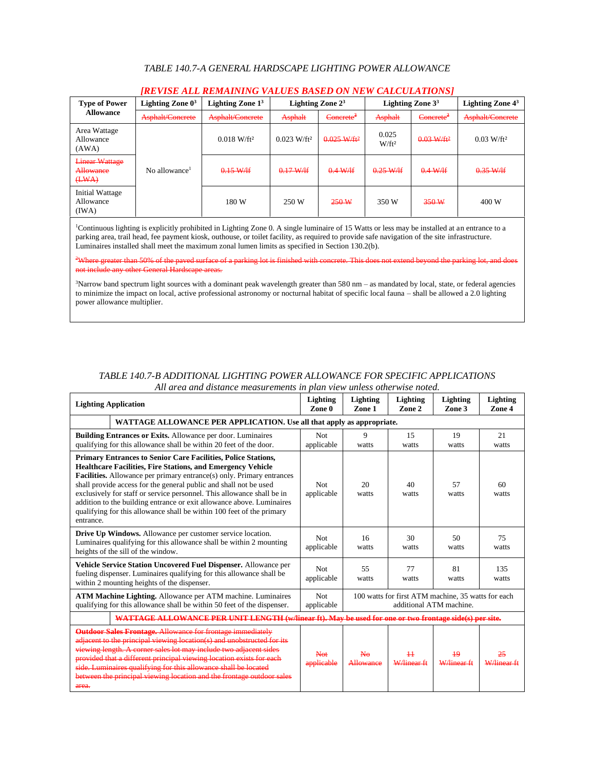## *TABLE 140.7-A GENERAL HARDSCAPE LIGHTING POWER ALLOWANCE*

| IKEVISE ALL KEMAINING VALUES DASED ON NEW CALCULATIONS [ |                           |                           |                            |                       |                   |                       |                          |  |  |
|----------------------------------------------------------|---------------------------|---------------------------|----------------------------|-----------------------|-------------------|-----------------------|--------------------------|--|--|
| <b>Type of Power</b><br><b>Allowance</b>                 | Lighting Zone $0^3$       | Lighting Zone $13$        |                            | Lighting Zone $2^3$   |                   | Lighting Zone $33$    | Lighting Zone $4^3$      |  |  |
|                                                          | Asphalt/Concrete          | Asphalt/Concrete          | Asphalt                    | Concrete <sup>2</sup> | Asphalt           | Concrete <sup>2</sup> | Asphalt/Concrete         |  |  |
| Area Wattage<br>Allowance<br>(AWA)                       |                           | $0.018$ W/ft <sup>2</sup> | $0.023$ W/ft <sup>2</sup>  | $0.025 W/ft^2$        | 0.025<br>$W/ft^2$ | $0.03 W/ft^2$         | $0.03$ W/ft <sup>2</sup> |  |  |
| <b>Linear Wattage</b><br>Allowance<br>(HWA)              | No allowance <sup>1</sup> | $0.15-W/H$                | $0.17$ W/If<br><del></del> | $0.4$ W/lf            | $0.25-W/H$        | 0.4 W/H               | $0.35-W/H$               |  |  |
| Initial Wattage<br>Allowance<br>(IWA)                    |                           | 180 W                     | 250 W                      | 250 W                 | 350 W             | 350 W                 | 400 W                    |  |  |

## *[REVISE ALL REMAINING VALUES BASED ON NEW CALCULATIONS]*

<sup>1</sup>Continuous lighting is explicitly prohibited in Lighting Zone 0. A single luminaire of 15 Watts or less may be installed at an entrance to a parking area, trail head, fee payment kiosk, outhouse, or toilet facility, as required to provide safe navigation of the site infrastructure. Luminaires installed shall meet the maximum zonal lumen limits as specified in Section 130.2(b).

<sup>2</sup>Where greater than 50% of the paved surface of a parking lot is finished with concrete. This does not extend beyond the parking lot, and does not include any other General Hardscape areas.

<sup>3</sup>Narrow band spectrum light sources with a dominant peak wavelength greater than 580 nm – as mandated by local, state, or federal agencies to minimize the impact on local, active professional astronomy or nocturnal habitat of specific local fauna – shall be allowed a 2.0 lighting power allowance multiplier.

## <span id="page-6-0"></span>*TABLE 140.7-B ADDITIONAL LIGHTING POWER ALLOWANCE FOR SPECIFIC APPLICATIONS All area and distance measurements in plan view unless otherwise noted.*

| <b>Lighting Application</b>                                                                                                                                                                                                                                                                                                                                                                                                                                                                                                              |                          | Lighting<br>Zone 1                                                            | Lighting<br>Zone 2 | Lighting<br>Zone 3        | Lighting<br>Zone 4 |  |  |
|------------------------------------------------------------------------------------------------------------------------------------------------------------------------------------------------------------------------------------------------------------------------------------------------------------------------------------------------------------------------------------------------------------------------------------------------------------------------------------------------------------------------------------------|--------------------------|-------------------------------------------------------------------------------|--------------------|---------------------------|--------------------|--|--|
| WATTAGE ALLOWANCE PER APPLICATION. Use all that apply as appropriate.                                                                                                                                                                                                                                                                                                                                                                                                                                                                    |                          |                                                                               |                    |                           |                    |  |  |
| <b>Building Entrances or Exits.</b> Allowance per door. Luminaires<br>qualifying for this allowance shall be within 20 feet of the door.                                                                                                                                                                                                                                                                                                                                                                                                 | <b>Not</b><br>applicable | 9<br>watts                                                                    | 15<br>watts        | 19<br>watts               | 21<br>watts        |  |  |
| <b>Primary Entrances to Senior Care Facilities, Police Stations,</b><br><b>Healthcare Facilities, Fire Stations, and Emergency Vehicle</b><br><b>Facilities.</b> Allowance per primary entrance(s) only. Primary entrances<br>shall provide access for the general public and shall not be used<br>exclusively for staff or service personnel. This allowance shall be in<br>addition to the building entrance or exit allowance above. Luminaires<br>qualifying for this allowance shall be within 100 feet of the primary<br>entrance. | <b>Not</b><br>applicable | 20<br>watts                                                                   | 40<br>watts        | 57<br>watts               | 60<br>watts        |  |  |
| <b>Drive Up Windows.</b> Allowance per customer service location.<br>Luminaires qualifying for this allowance shall be within 2 mounting<br>heights of the sill of the window.                                                                                                                                                                                                                                                                                                                                                           | <b>Not</b><br>applicable | 16<br>watts                                                                   | 30<br>watts        | 50<br>watts               | 75<br>watts        |  |  |
| <b>Vehicle Service Station Uncovered Fuel Dispenser.</b> Allowance per<br>fueling dispenser. Luminaires qualifying for this allowance shall be<br>within 2 mounting heights of the dispenser.                                                                                                                                                                                                                                                                                                                                            | <b>Not</b><br>applicable | 55<br>watts                                                                   | 77<br>watts        | 81<br>watts               | 135<br>watts       |  |  |
| ATM Machine Lighting. Allowance per ATM machine. Luminaires<br>qualifying for this allowance shall be within 50 feet of the dispenser.                                                                                                                                                                                                                                                                                                                                                                                                   | <b>Not</b><br>applicable | 100 watts for first ATM machine, 35 watts for each<br>additional ATM machine. |                    |                           |                    |  |  |
| WATTAGE ALLOWANCE PER UNIT LENGTH (w/linear ft). May be used for one or two frontage side(s) per site.                                                                                                                                                                                                                                                                                                                                                                                                                                   |                          |                                                                               |                    |                           |                    |  |  |
| <b>Outdoor Sales Frontage.</b> Allowance for frontage immediately<br>adjacent to the principal viewing location(s) and unobstructed for its<br>viewing length. A corner sales lot may include two adjacent sides<br>provided that a different principal viewing location exists for each<br>side. Luminaires qualifying for this allowance shall be located<br>between the principal viewing location and the frontage outdoor sales<br>area.                                                                                            | Net<br>applicable        | Nο<br>Allowance                                                               | 11<br>W/linear ft  | 10<br><b>W</b> /linear ft | W/lingar ft        |  |  |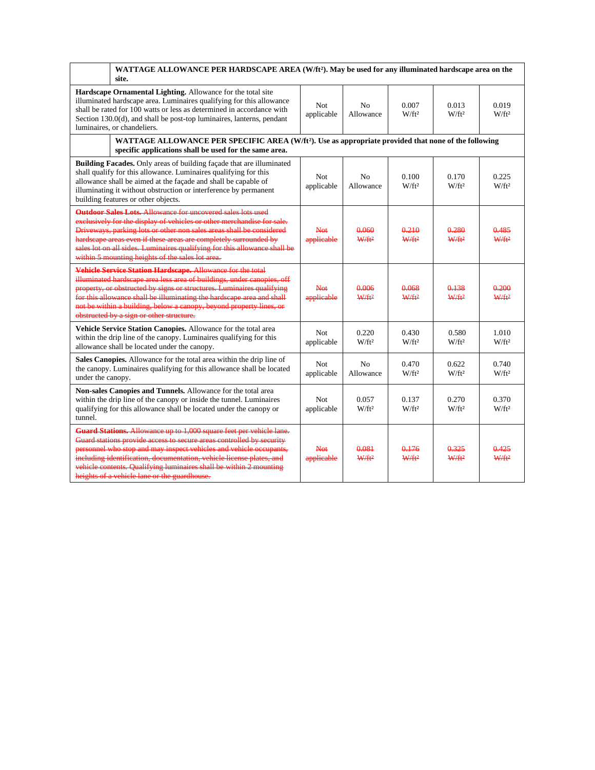|                                                                                                                                                                                                                                                                                                                                                                                                                    | WATTAGE ALLOWANCE PER HARDSCAPE AREA (W/ft <sup>2</sup> ). May be used for any illuminated hardscape area on the<br>site.                                                                                                                                                                                                                                                                                                 |                   |                             |                            |                            |                          |  |  |
|--------------------------------------------------------------------------------------------------------------------------------------------------------------------------------------------------------------------------------------------------------------------------------------------------------------------------------------------------------------------------------------------------------------------|---------------------------------------------------------------------------------------------------------------------------------------------------------------------------------------------------------------------------------------------------------------------------------------------------------------------------------------------------------------------------------------------------------------------------|-------------------|-----------------------------|----------------------------|----------------------------|--------------------------|--|--|
| Hardscape Ornamental Lighting. Allowance for the total site<br>illuminated hardscape area. Luminaires qualifying for this allowance<br>Not<br>N <sub>0</sub><br>0.007<br>0.013<br>shall be rated for 100 watts or less as determined in accordance with<br>applicable<br>$W/ft^2$<br>$W/ft^2$<br>Allowance<br>Section 130.0(d), and shall be post-top luminaires, lanterns, pendant<br>luminaires, or chandeliers. |                                                                                                                                                                                                                                                                                                                                                                                                                           |                   |                             |                            |                            | 0.019<br>$W/ft^2$        |  |  |
| WATTAGE ALLOWANCE PER SPECIFIC AREA (W/ft <sup>2</sup> ). Use as appropriate provided that none of the following<br>specific applications shall be used for the same area.                                                                                                                                                                                                                                         |                                                                                                                                                                                                                                                                                                                                                                                                                           |                   |                             |                            |                            |                          |  |  |
|                                                                                                                                                                                                                                                                                                                                                                                                                    | <b>Building Facades.</b> Only areas of building façade that are illuminated<br>shall qualify for this allowance. Luminaires qualifying for this<br>allowance shall be aimed at the façade and shall be capable of<br>illuminating it without obstruction or interference by permanent<br>building features or other objects.                                                                                              | Not<br>applicable | N <sub>0</sub><br>Allowance | 0.100<br>$W/ft^2$          | 0.170<br>$W/ft^2$          | 0.225<br>$W/ft^2$        |  |  |
|                                                                                                                                                                                                                                                                                                                                                                                                                    | <b>Outdoor Sales Lots.</b> Allowance for uncovered sales lots used<br>exclusively for the display of vehicles or other merchandise for sale.<br>Driveways, parking lots or other non sales areas shall be considered<br>hardscape areas even if these areas are completely surrounded by<br>sales lot on all sides. Luminaires qualifying for this allowance shall be<br>within 5 mounting heights of the sales lot area. | Not<br>applicable | 0.060<br>$W/ft^2$           | 0.210<br>W/ft <sup>2</sup> | 0.280<br>W/ft <sup>2</sup> | 0.485<br>$W/ft^2$        |  |  |
|                                                                                                                                                                                                                                                                                                                                                                                                                    | Vehicle Service Station Hardscape. Allowance for the total<br>illuminated hardscape area less area of buildings, under canopies, off<br>property, or obstructed by signs or structures. Luminaires qualifying<br>for this allowance shall be illuminating the hardscape area and shall<br>not be within a building, below a canopy, beyond property lines, or<br>obstructed by a sign or other structure.                 | Not<br>applicable | 0.006<br>$W/ft^2$           | 0.068<br>W/ft <sup>2</sup> | 0.138<br>$W/ft^2$          | 0.200<br>$W/ft^2$        |  |  |
|                                                                                                                                                                                                                                                                                                                                                                                                                    | Vehicle Service Station Canopies. Allowance for the total area<br>within the drip line of the canopy. Luminaires qualifying for this<br>allowance shall be located under the canopy.                                                                                                                                                                                                                                      | Not<br>applicable | 0.220<br>$W/ft^2$           | 0.430<br>$W/ft^2$          | 0.580<br>$W/ft^2$          | 1.010<br>$W/ft^2$        |  |  |
| under the canopy.                                                                                                                                                                                                                                                                                                                                                                                                  | Sales Canopies. Allowance for the total area within the drip line of<br>the canopy. Luminaires qualifying for this allowance shall be located                                                                                                                                                                                                                                                                             | Not<br>applicable | N <sub>0</sub><br>Allowance | 0.470<br>$W/ft^2$          | 0.622<br>$W/ft^2$          | 0.740<br>$W/ft^2$        |  |  |
| tunnel.                                                                                                                                                                                                                                                                                                                                                                                                            | Non-sales Canopies and Tunnels. Allowance for the total area<br>within the drip line of the canopy or inside the tunnel. Luminaires<br>qualifying for this allowance shall be located under the canopy or                                                                                                                                                                                                                 | Not<br>applicable | 0.057<br>$W/ft^2$           | 0.137<br>$W/ft^2$          | 0.270<br>$W/ft^2$          | 0.370<br>$W/ft^2$        |  |  |
|                                                                                                                                                                                                                                                                                                                                                                                                                    | Guard Stations. Allowance up to 1,000 square feet per vehicle lane.<br>Guard stations provide access to secure areas controlled by security<br>personnel who stop and may inspect vehicles and vehicle occupants,<br>including identification, documentation, vehicle license plates, and<br>vehicle contents. Qualifying luminaires shall be within 2 mounting<br>heights of a vehicle lane or the guardhouse.           | Not<br>applicable | 0.081<br>W/ft <sup>2</sup>  | 0.176<br>$W/ft^2$          | 0.325<br>$W/ft^2$          | <u>0.425</u><br>$W/f_12$ |  |  |